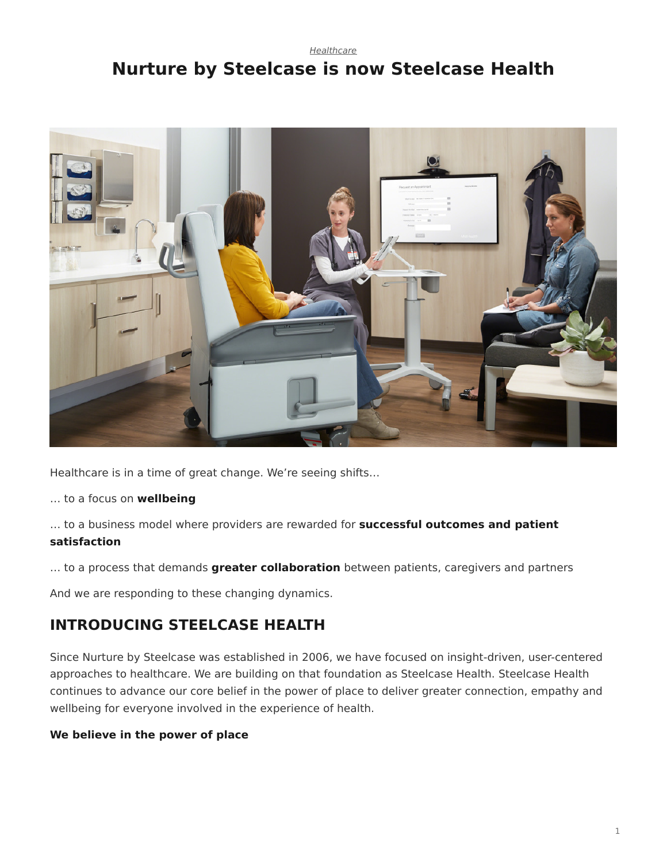## <span id="page-0-0"></span>*[Healthcare](https://www.steelcase.com/research/topics/healthcare/)* **Nurture by Steelcase is now Steelcase Health**



Healthcare is in a time of great change. We're seeing shifts…

… to a focus on **wellbeing**

… to a business model where providers are rewarded for **successful outcomes and patient satisfaction**

… to a process that demands **greater collaboration** between patients, caregivers and partners

And we are responding to these changing dynamics.

## **INTRODUCING STEELCASE HEALTH**

Since Nurture by Steelcase was established in 2006, we have focused on insight-driven, user-centered approaches to healthcare. We are building on that foundation as Steelcase Health. Steelcase Health continues to advance our core belief in the power of place to deliver greater connection, empathy and wellbeing for everyone involved in the experience of health.

## **We believe in the power of place**